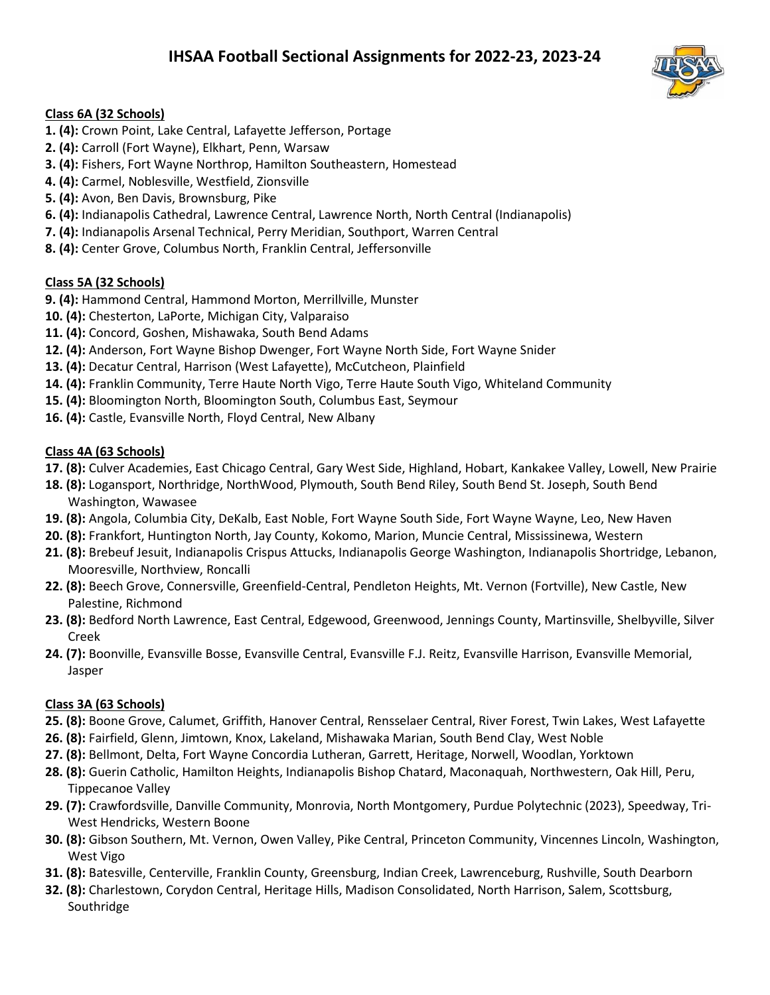

## **Class 6A (32 Schools)**

- **1. (4):** Crown Point, Lake Central, Lafayette Jefferson, Portage
- **2. (4):** Carroll (Fort Wayne), Elkhart, Penn, Warsaw
- **3. (4):** Fishers, Fort Wayne Northrop, Hamilton Southeastern, Homestead
- **4. (4):** Carmel, Noblesville, Westfield, Zionsville
- **5. (4):** Avon, Ben Davis, Brownsburg, Pike
- **6. (4):** Indianapolis Cathedral, Lawrence Central, Lawrence North, North Central (Indianapolis)
- **7. (4):** Indianapolis Arsenal Technical, Perry Meridian, Southport, Warren Central
- **8. (4):** Center Grove, Columbus North, Franklin Central, Jeffersonville

# **Class 5A (32 Schools)**

- **9. (4):** Hammond Central, Hammond Morton, Merrillville, Munster
- **10. (4):** Chesterton, LaPorte, Michigan City, Valparaiso
- **11. (4):** Concord, Goshen, Mishawaka, South Bend Adams
- **12. (4):** Anderson, Fort Wayne Bishop Dwenger, Fort Wayne North Side, Fort Wayne Snider
- **13. (4):** Decatur Central, Harrison (West Lafayette), McCutcheon, Plainfield
- **14. (4):** Franklin Community, Terre Haute North Vigo, Terre Haute South Vigo, Whiteland Community
- **15. (4):** Bloomington North, Bloomington South, Columbus East, Seymour
- **16. (4):** Castle, Evansville North, Floyd Central, New Albany

# **Class 4A (63 Schools)**

- **17. (8):** Culver Academies, East Chicago Central, Gary West Side, Highland, Hobart, Kankakee Valley, Lowell, New Prairie
- **18. (8):** Logansport, Northridge, NorthWood, Plymouth, South Bend Riley, South Bend St. Joseph, South Bend Washington, Wawasee
- **19. (8):** Angola, Columbia City, DeKalb, East Noble, Fort Wayne South Side, Fort Wayne Wayne, Leo, New Haven
- **20. (8):** Frankfort, Huntington North, Jay County, Kokomo, Marion, Muncie Central, Mississinewa, Western
- **21. (8):** Brebeuf Jesuit, Indianapolis Crispus Attucks, Indianapolis George Washington, Indianapolis Shortridge, Lebanon, Mooresville, Northview, Roncalli
- **22. (8):** Beech Grove, Connersville, Greenfield-Central, Pendleton Heights, Mt. Vernon (Fortville), New Castle, New Palestine, Richmond
- **23. (8):** Bedford North Lawrence, East Central, Edgewood, Greenwood, Jennings County, Martinsville, Shelbyville, Silver Creek
- **24. (7):** Boonville, Evansville Bosse, Evansville Central, Evansville F.J. Reitz, Evansville Harrison, Evansville Memorial, Jasper

# **Class 3A (63 Schools)**

- **25. (8):** Boone Grove, Calumet, Griffith, Hanover Central, Rensselaer Central, River Forest, Twin Lakes, West Lafayette
- **26. (8):** Fairfield, Glenn, Jimtown, Knox, Lakeland, Mishawaka Marian, South Bend Clay, West Noble
- **27. (8):** Bellmont, Delta, Fort Wayne Concordia Lutheran, Garrett, Heritage, Norwell, Woodlan, Yorktown
- **28. (8):** Guerin Catholic, Hamilton Heights, Indianapolis Bishop Chatard, Maconaquah, Northwestern, Oak Hill, Peru, Tippecanoe Valley
- **29. (7):** Crawfordsville, Danville Community, Monrovia, North Montgomery, Purdue Polytechnic (2023), Speedway, Tri-West Hendricks, Western Boone
- **30. (8):** Gibson Southern, Mt. Vernon, Owen Valley, Pike Central, Princeton Community, Vincennes Lincoln, Washington, West Vigo
- **31. (8):** Batesville, Centerville, Franklin County, Greensburg, Indian Creek, Lawrenceburg, Rushville, South Dearborn
- **32. (8):** Charlestown, Corydon Central, Heritage Hills, Madison Consolidated, North Harrison, Salem, Scottsburg, Southridge